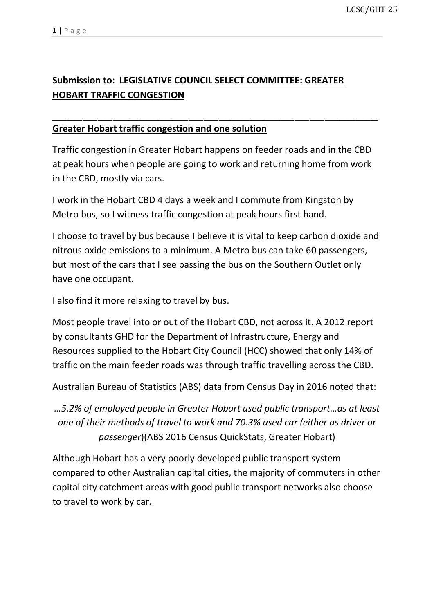## **Submission to: LEGISLATIVE COUNCIL SELECT COMMITTEE: GREATER HOBART TRAFFIC CONGESTION**

## **Greater Hobart traffic congestion and one solution**

Traffic congestion in Greater Hobart happens on feeder roads and in the CBD at peak hours when people are going to work and returning home from work in the CBD, mostly via cars.

\_\_\_\_\_\_\_\_\_\_\_\_\_\_\_\_\_\_\_\_\_\_\_\_\_\_\_\_\_\_\_\_\_\_\_\_\_\_\_\_\_\_\_\_\_\_\_\_\_\_\_\_\_\_\_\_\_\_\_\_\_\_\_\_\_\_\_\_\_\_\_\_\_\_\_\_\_\_\_\_\_\_\_\_\_\_

I work in the Hobart CBD 4 days a week and I commute from Kingston by Metro bus, so I witness traffic congestion at peak hours first hand.

I choose to travel by bus because I believe it is vital to keep carbon dioxide and nitrous oxide emissions to a minimum. A Metro bus can take 60 passengers, but most of the cars that I see passing the bus on the Southern Outlet only have one occupant.

I also find it more relaxing to travel by bus.

Most people travel into or out of the Hobart CBD, not across it. A 2012 report by consultants GHD for the Department of Infrastructure, Energy and Resources supplied to the Hobart City Council (HCC) showed that only 14% of traffic on the main feeder roads was through traffic travelling across the CBD.

Australian Bureau of Statistics (ABS) data from Census Day in 2016 noted that:

*…5.2% of employed people in Greater Hobart used public transport…as at least one of their methods of travel to work and 70.3% used car (either as driver or passenger*)(ABS 2016 Census QuickStats, Greater Hobart)

Although Hobart has a very poorly developed public transport system compared to other Australian capital cities, the majority of commuters in other capital city catchment areas with good public transport networks also choose to travel to work by car.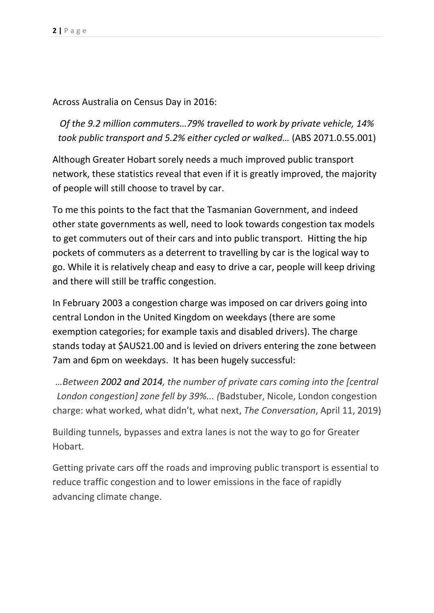Across Australia on Census Day in 2016:

*Of the 9.2 million commuters…79% travelled to work by private vehicle, 14% took public transport and 5.2% either cycled or walked…* (ABS 2071.0.55.001)

Although Greater Hobart sorely needs a much improved public transport network, these statistics reveal that even if it is greatly improved, the majority of people will still choose to travel by car.

To me this points to the fact that the Tasmanian Government, and indeed other state governments as well, need to look towards congestion tax models to get commuters out of their cars and into public transport. Hitting the hip pockets of commuters as a deterrent to travelling by car is the logical way to go. While it is relatively cheap and easy to drive a car, people will keep driving and there will still be traffic congestion.

In February 2003 a congestion charge was imposed on car drivers going into central London in the United Kingdom on weekdays (there are some exemption categories; for example taxis and disabled drivers). The charge stands today at \$AUS21.00 and is levied on drivers entering the zone between 7am and 6pm on weekdays. It has been hugely successful:

*…Between 2002 and 2014, the number of private cars coming into the [central London congestion] zone fell by 39%... (*Badstuber, Nicole, London congestion charge: what worked, what didn't, what next, *The Conversation*, April 11, 2019)

Building tunnels, bypasses and extra lanes is not the way to go for Greater Hobart.

Getting private cars off the roads and improving public transport is essential to reduce traffic congestion and to lower emissions in the face of rapidly advancing climate change.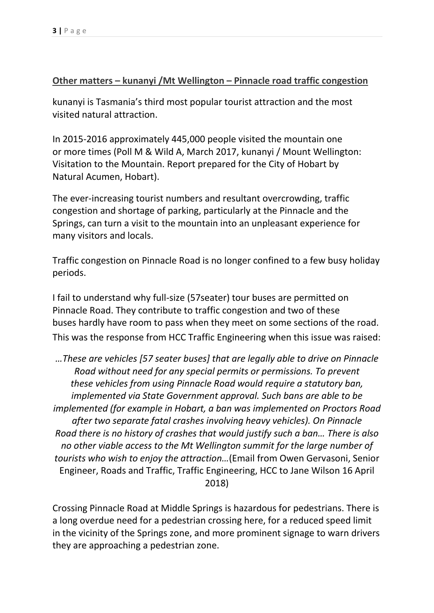## **Other matters – kunanyi /Mt Wellington – Pinnacle road traffic congestion**

kunanyi is Tasmania's third most popular tourist attraction and the most visited natural attraction.

In 2015-2016 approximately 445,000 people visited the mountain one or more times (Poll M & Wild A, March 2017, kunanyi / Mount Wellington: Visitation to the Mountain. Report prepared for the City of Hobart by Natural Acumen, Hobart).

The ever-increasing tourist numbers and resultant overcrowding, traffic congestion and shortage of parking, particularly at the Pinnacle and the Springs, can turn a visit to the mountain into an unpleasant experience for many visitors and locals.

Traffic congestion on Pinnacle Road is no longer confined to a few busy holiday periods.

I fail to understand why full-size (57seater) tour buses are permitted on Pinnacle Road. They contribute to traffic congestion and two of these buses hardly have room to pass when they meet on some sections of the road. This was the response from HCC Traffic Engineering when this issue was raised:

*…These are vehicles [57 seater buses] that are legally able to drive on Pinnacle Road without need for any special permits or permissions. To prevent these vehicles from using Pinnacle Road would require a statutory ban, implemented via State Government approval. Such bans are able to be implemented (for example in Hobart, a ban was implemented on Proctors Road after two separate fatal crashes involving heavy vehicles). On Pinnacle Road there is no history of crashes that would justify such a ban… There is also no other viable access to the Mt Wellington summit for the large number of tourists who wish to enjoy the attraction…*(Email from Owen Gervasoni, Senior Engineer, Roads and Traffic, Traffic Engineering, HCC to Jane Wilson 16 April 2018)

Crossing Pinnacle Road at Middle Springs is hazardous for pedestrians. There is a long overdue need for a pedestrian crossing here, for a reduced speed limit in the vicinity of the Springs zone, and more prominent signage to warn drivers they are approaching a pedestrian zone.